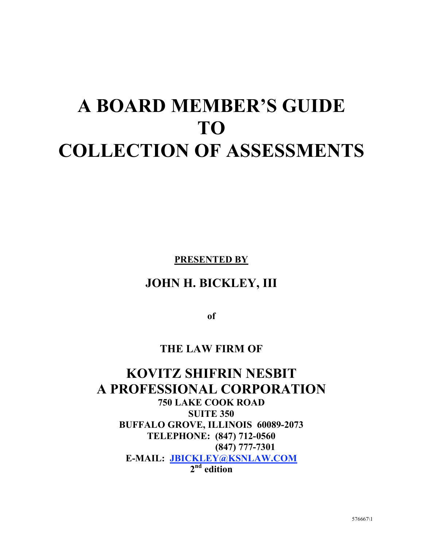# **A BOARD MEMBER'S GUIDE TO COLLECTION OF ASSESSMENTS**

**PRESENTED BY**

# **JOHN H. BICKLEY, III**

**of**

# **THE LAW FIRM OF**

# **KOVITZ SHIFRIN NESBIT A PROFESSIONAL CORPORATION 750 LAKE COOK ROAD SUITE 350 BUFFALO GROVE, ILLINOIS 60089-2073 TELEPHONE: (847) 712-0560 (847) 777-7301 E-MAIL: JBICKLEY@KSNLAW.COM 2nd edition**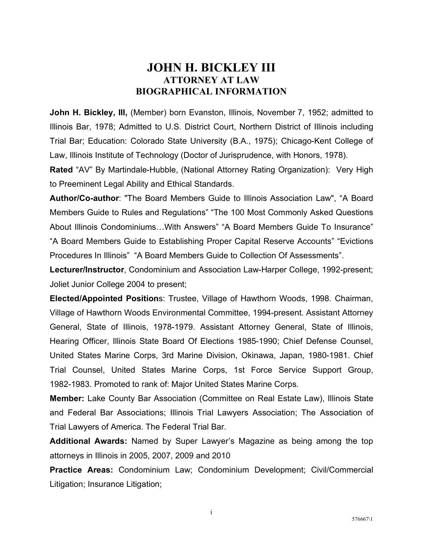## **JOHN H. BICKLEY III ATTORNEY AT LAW BIOGRAPHICAL INFORMATION**

**John H. Bickley, III, (Member) born Evanston, Illinois, November 7, 1952; admitted to** Illinois Bar, 1978; Admitted to U.S. District Court, Northern District of Illinois including Trial Bar; Education: Colorado State University (B.A., 1975); Chicago-Kent College of Law, Illinois Institute of Technology (Doctor of Jurisprudence, with Honors, 1978).

**Rated** "AV" By Martindale-Hubble, (National Attorney Rating Organization): Very High to Preeminent Legal Ability and Ethical Standards.

**Author/Co-author**: "The Board Members Guide to Illinois Association Law", "A Board Members Guide to Rules and Regulations" "The 100 Most Commonly Asked Questions About Illinois Condominiums…With Answers" "A Board Members Guide To Insurance" "A Board Members Guide to Establishing Proper Capital Reserve Accounts" "Evictions Procedures In Illinois" "A Board Members Guide to Collection Of Assessments".

**Lecturer/Instructor**, Condominium and Association Law-Harper College, 1992-present; Joliet Junior College 2004 to present;

**Elected/Appointed Position**s: Trustee, Village of Hawthorn Woods, 1998. Chairman, Village of Hawthorn Woods Environmental Committee, 1994-present. Assistant Attorney General, State of Illinois, 1978-1979. Assistant Attorney General, State of Illinois, Hearing Officer, Illinois State Board Of Elections 1985-1990; Chief Defense Counsel, United States Marine Corps, 3rd Marine Division, Okinawa, Japan, 1980-1981. Chief Trial Counsel, United States Marine Corps, 1st Force Service Support Group, 1982-1983. Promoted to rank of: Major United States Marine Corps.

**Member:** Lake County Bar Association (Committee on Real Estate Law), Illinois State and Federal Bar Associations; Illinois Trial Lawyers Association; The Association of Trial Lawyers of America. The Federal Trial Bar.

**Additional Awards:** Named by Super Lawyer's Magazine as being among the top attorneys in Illinois in 2005, 2007, 2009 and 2010

**Practice Areas:** Condominium Law; Condominium Development; Civil/Commercial Litigation; Insurance Litigation;

i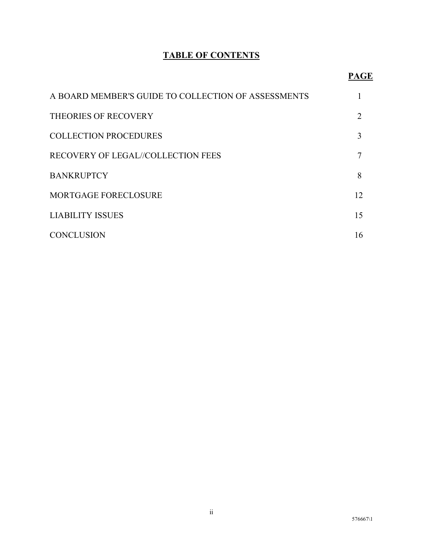## **TABLE OF CONTENTS**

| A BOARD MEMBER'S GUIDE TO COLLECTION OF ASSESSMENTS |    |
|-----------------------------------------------------|----|
| <b>THEORIES OF RECOVERY</b>                         |    |
| <b>COLLECTION PROCEDURES</b>                        | 3  |
| <b>RECOVERY OF LEGAL//COLLECTION FEES</b>           |    |
| <b>BANKRUPTCY</b>                                   | 8  |
| MORTGAGE FORECLOSURE                                | 12 |
| <b>LIABILITY ISSUES</b>                             | 15 |
| <b>CONCLUSION</b>                                   | 16 |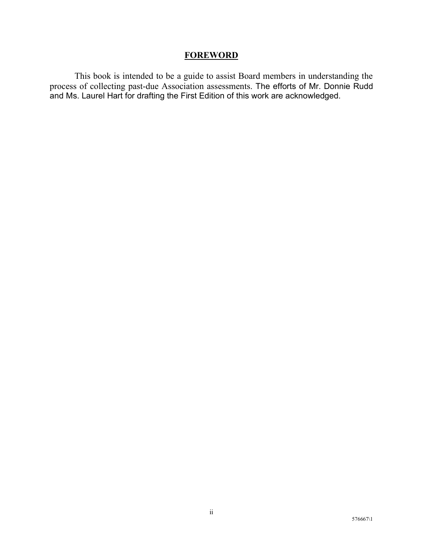## **FOREWORD**

This book is intended to be a guide to assist Board members in understanding the process of collecting past-due Association assessments. The efforts of Mr. Donnie Rudd and Ms. Laurel Hart for drafting the First Edition of this work are acknowledged.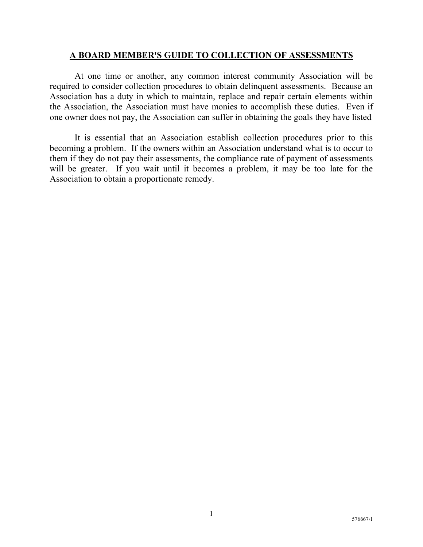#### **A BOARD MEMBER'S GUIDE TO COLLECTION OF ASSESSMENTS**

At one time or another, any common interest community Association will be required to consider collection procedures to obtain delinquent assessments. Because an Association has a duty in which to maintain, replace and repair certain elements within the Association, the Association must have monies to accomplish these duties. Even if one owner does not pay, the Association can suffer in obtaining the goals they have listed

It is essential that an Association establish collection procedures prior to this becoming a problem. If the owners within an Association understand what is to occur to them if they do not pay their assessments, the compliance rate of payment of assessments will be greater. If you wait until it becomes a problem, it may be too late for the Association to obtain a proportionate remedy.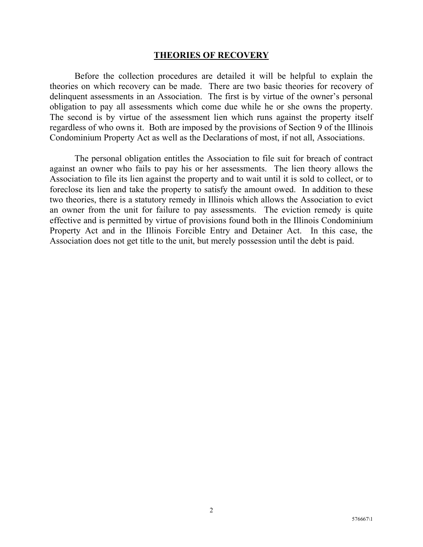#### **THEORIES OF RECOVERY**

Before the collection procedures are detailed it will be helpful to explain the theories on which recovery can be made. There are two basic theories for recovery of delinquent assessments in an Association. The first is by virtue of the owner's personal obligation to pay all assessments which come due while he or she owns the property. The second is by virtue of the assessment lien which runs against the property itself regardless of who owns it. Both are imposed by the provisions of Section 9 of the Illinois Condominium Property Act as well as the Declarations of most, if not all, Associations.

The personal obligation entitles the Association to file suit for breach of contract against an owner who fails to pay his or her assessments. The lien theory allows the Association to file its lien against the property and to wait until it is sold to collect, or to foreclose its lien and take the property to satisfy the amount owed. In addition to these two theories, there is a statutory remedy in Illinois which allows the Association to evict an owner from the unit for failure to pay assessments. The eviction remedy is quite effective and is permitted by virtue of provisions found both in the Illinois Condominium Property Act and in the Illinois Forcible Entry and Detainer Act. In this case, the Association does not get title to the unit, but merely possession until the debt is paid.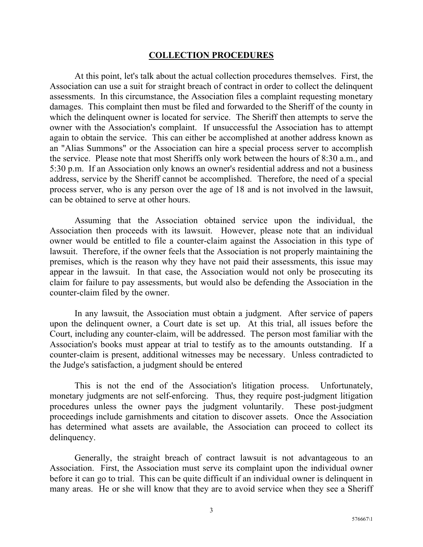#### **COLLECTION PROCEDURES**

At this point, let's talk about the actual collection procedures themselves. First, the Association can use a suit for straight breach of contract in order to collect the delinquent assessments. In this circumstance, the Association files a complaint requesting monetary damages. This complaint then must be filed and forwarded to the Sheriff of the county in which the delinquent owner is located for service. The Sheriff then attempts to serve the owner with the Association's complaint. If unsuccessful the Association has to attempt again to obtain the service. This can either be accomplished at another address known as an "Alias Summons" or the Association can hire a special process server to accomplish the service. Please note that most Sheriffs only work between the hours of 8:30 a.m., and 5:30 p.m. If an Association only knows an owner's residential address and not a business address, service by the Sheriff cannot be accomplished. Therefore, the need of a special process server, who is any person over the age of 18 and is not involved in the lawsuit, can be obtained to serve at other hours.

Assuming that the Association obtained service upon the individual, the Association then proceeds with its lawsuit. However, please note that an individual owner would be entitled to file a counter-claim against the Association in this type of lawsuit. Therefore, if the owner feels that the Association is not properly maintaining the premises, which is the reason why they have not paid their assessments, this issue may appear in the lawsuit. In that case, the Association would not only be prosecuting its claim for failure to pay assessments, but would also be defending the Association in the counter-claim filed by the owner.

In any lawsuit, the Association must obtain a judgment. After service of papers upon the delinquent owner, a Court date is set up. At this trial, all issues before the Court, including any counter-claim, will be addressed. The person most familiar with the Association's books must appear at trial to testify as to the amounts outstanding. If a counter-claim is present, additional witnesses may be necessary. Unless contradicted to the Judge's satisfaction, a judgment should be entered

This is not the end of the Association's litigation process. Unfortunately, monetary judgments are not self-enforcing. Thus, they require post-judgment litigation procedures unless the owner pays the judgment voluntarily. These post-judgment proceedings include garnishments and citation to discover assets. Once the Association has determined what assets are available, the Association can proceed to collect its delinquency.

Generally, the straight breach of contract lawsuit is not advantageous to an Association. First, the Association must serve its complaint upon the individual owner before it can go to trial. This can be quite difficult if an individual owner is delinquent in many areas. He or she will know that they are to avoid service when they see a Sheriff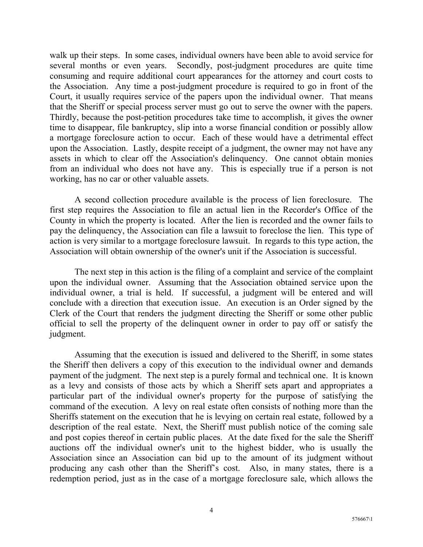walk up their steps. In some cases, individual owners have been able to avoid service for several months or even years. Secondly, post-judgment procedures are quite time consuming and require additional court appearances for the attorney and court costs to the Association. Any time a post-judgment procedure is required to go in front of the Court, it usually requires service of the papers upon the individual owner. That means that the Sheriff or special process server must go out to serve the owner with the papers. Thirdly, because the post-petition procedures take time to accomplish, it gives the owner time to disappear, file bankruptcy, slip into a worse financial condition or possibly allow a mortgage foreclosure action to occur. Each of these would have a detrimental effect upon the Association. Lastly, despite receipt of a judgment, the owner may not have any assets in which to clear off the Association's delinquency. One cannot obtain monies from an individual who does not have any. This is especially true if a person is not working, has no car or other valuable assets.

A second collection procedure available is the process of lien foreclosure. The first step requires the Association to file an actual lien in the Recorder's Office of the County in which the property is located. After the lien is recorded and the owner fails to pay the delinquency, the Association can file a lawsuit to foreclose the lien. This type of action is very similar to a mortgage foreclosure lawsuit. In regards to this type action, the Association will obtain ownership of the owner's unit if the Association is successful.

The next step in this action is the filing of a complaint and service of the complaint upon the individual owner. Assuming that the Association obtained service upon the individual owner, a trial is held. If successful, a judgment will be entered and will conclude with a direction that execution issue. An execution is an Order signed by the Clerk of the Court that renders the judgment directing the Sheriff or some other public official to sell the property of the delinquent owner in order to pay off or satisfy the judgment.

Assuming that the execution is issued and delivered to the Sheriff, in some states the Sheriff then delivers a copy of this execution to the individual owner and demands payment of the judgment. The next step is a purely formal and technical one. It is known as a levy and consists of those acts by which a Sheriff sets apart and appropriates a particular part of the individual owner's property for the purpose of satisfying the command of the execution. A levy on real estate often consists of nothing more than the Sheriffs statement on the execution that he is levying on certain real estate, followed by a description of the real estate. Next, the Sheriff must publish notice of the coming sale and post copies thereof in certain public places. At the date fixed for the sale the Sheriff auctions off the individual owner's unit to the highest bidder, who is usually the Association since an Association can bid up to the amount of its judgment without producing any cash other than the Sheriff's cost. Also, in many states, there is a redemption period, just as in the case of a mortgage foreclosure sale, which allows the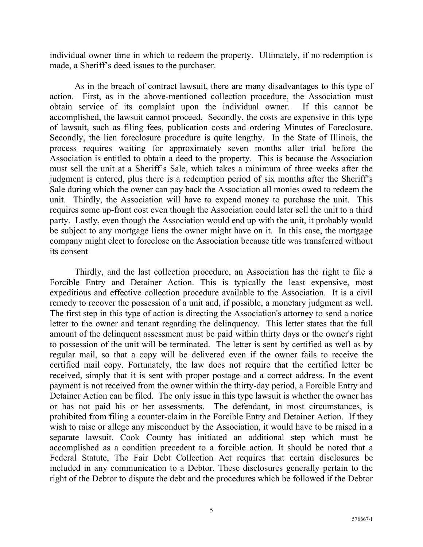individual owner time in which to redeem the property. Ultimately, if no redemption is made, a Sheriff's deed issues to the purchaser.

As in the breach of contract lawsuit, there are many disadvantages to this type of action. First, as in the above-mentioned collection procedure, the Association must obtain service of its complaint upon the individual owner. If this cannot be accomplished, the lawsuit cannot proceed. Secondly, the costs are expensive in this type of lawsuit, such as filing fees, publication costs and ordering Minutes of Foreclosure. Secondly, the lien foreclosure procedure is quite lengthy. In the State of Illinois, the process requires waiting for approximately seven months after trial before the Association is entitled to obtain a deed to the property. This is because the Association must sell the unit at a Sheriff's Sale, which takes a minimum of three weeks after the judgment is entered, plus there is a redemption period of six months after the Sheriff's Sale during which the owner can pay back the Association all monies owed to redeem the unit. Thirdly, the Association will have to expend money to purchase the unit. This requires some up-front cost even though the Association could later sell the unit to a third party. Lastly, even though the Association would end up with the unit, it probably would be subject to any mortgage liens the owner might have on it. In this case, the mortgage company might elect to foreclose on the Association because title was transferred without its consent

Thirdly, and the last collection procedure, an Association has the right to file a Forcible Entry and Detainer Action. This is typically the least expensive, most expeditious and effective collection procedure available to the Association. It is a civil remedy to recover the possession of a unit and, if possible, a monetary judgment as well. The first step in this type of action is directing the Association's attorney to send a notice letter to the owner and tenant regarding the delinquency. This letter states that the full amount of the delinquent assessment must be paid within thirty days or the owner's right to possession of the unit will be terminated. The letter is sent by certified as well as by regular mail, so that a copy will be delivered even if the owner fails to receive the certified mail copy. Fortunately, the law does not require that the certified letter be received, simply that it is sent with proper postage and a correct address. In the event payment is not received from the owner within the thirty-day period, a Forcible Entry and Detainer Action can be filed. The only issue in this type lawsuit is whether the owner has or has not paid his or her assessments. The defendant, in most circumstances, is prohibited from filing a counter-claim in the Forcible Entry and Detainer Action. If they wish to raise or allege any misconduct by the Association, it would have to be raised in a separate lawsuit. Cook County has initiated an additional step which must be accomplished as a condition precedent to a forcible action. It should be noted that a Federal Statute, The Fair Debt Collection Act requires that certain disclosures be included in any communication to a Debtor. These disclosures generally pertain to the right of the Debtor to dispute the debt and the procedures which be followed if the Debtor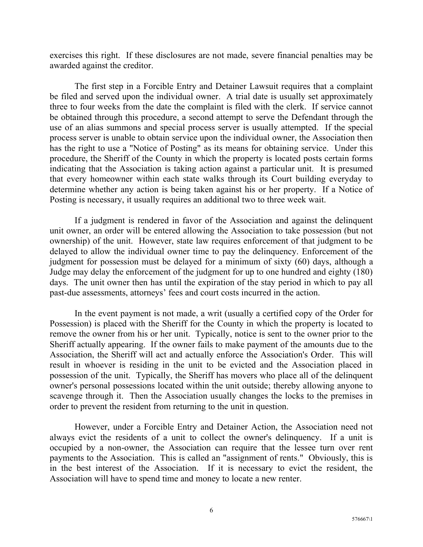exercises this right. If these disclosures are not made, severe financial penalties may be awarded against the creditor.

The first step in a Forcible Entry and Detainer Lawsuit requires that a complaint be filed and served upon the individual owner. A trial date is usually set approximately three to four weeks from the date the complaint is filed with the clerk. If service cannot be obtained through this procedure, a second attempt to serve the Defendant through the use of an alias summons and special process server is usually attempted. If the special process server is unable to obtain service upon the individual owner, the Association then has the right to use a "Notice of Posting" as its means for obtaining service. Under this procedure, the Sheriff of the County in which the property is located posts certain forms indicating that the Association is taking action against a particular unit. It is presumed that every homeowner within each state walks through its Court building everyday to determine whether any action is being taken against his or her property. If a Notice of Posting is necessary, it usually requires an additional two to three week wait.

If a judgment is rendered in favor of the Association and against the delinquent unit owner, an order will be entered allowing the Association to take possession (but not ownership) of the unit. However, state law requires enforcement of that judgment to be delayed to allow the individual owner time to pay the delinquency. Enforcement of the judgment for possession must be delayed for a minimum of sixty (60) days, although a Judge may delay the enforcement of the judgment for up to one hundred and eighty (180) days. The unit owner then has until the expiration of the stay period in which to pay all past-due assessments, attorneys' fees and court costs incurred in the action.

In the event payment is not made, a writ (usually a certified copy of the Order for Possession) is placed with the Sheriff for the County in which the property is located to remove the owner from his or her unit. Typically, notice is sent to the owner prior to the Sheriff actually appearing. If the owner fails to make payment of the amounts due to the Association, the Sheriff will act and actually enforce the Association's Order. This will result in whoever is residing in the unit to be evicted and the Association placed in possession of the unit. Typically, the Sheriff has movers who place all of the delinquent owner's personal possessions located within the unit outside; thereby allowing anyone to scavenge through it. Then the Association usually changes the locks to the premises in order to prevent the resident from returning to the unit in question.

However, under a Forcible Entry and Detainer Action, the Association need not always evict the residents of a unit to collect the owner's delinquency. If a unit is occupied by a non-owner, the Association can require that the lessee turn over rent payments to the Association. This is called an "assignment of rents." Obviously, this is in the best interest of the Association. If it is necessary to evict the resident, the Association will have to spend time and money to locate a new renter.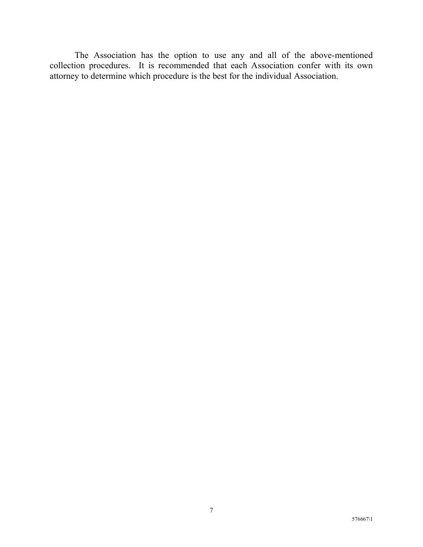The Association has the option to use any and all of the above-mentioned collection procedures. It is recommended that each Association confer with its own attorney to determine which procedure is the best for the individual Association.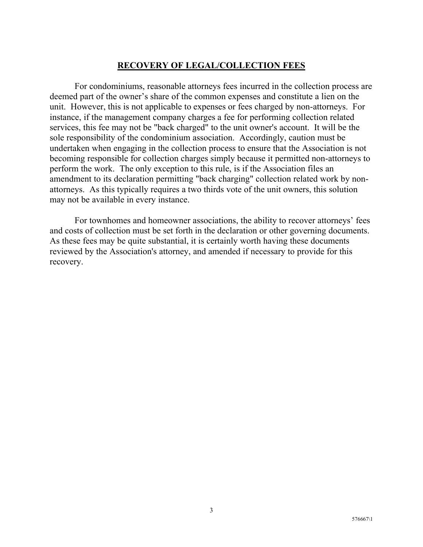## **RECOVERY OF LEGAL/COLLECTION FEES**

For condominiums, reasonable attorneys fees incurred in the collection process are deemed part of the owner's share of the common expenses and constitute a lien on the unit. However, this is not applicable to expenses or fees charged by non-attorneys. For instance, if the management company charges a fee for performing collection related services, this fee may not be "back charged" to the unit owner's account. It will be the sole responsibility of the condominium association. Accordingly, caution must be undertaken when engaging in the collection process to ensure that the Association is not becoming responsible for collection charges simply because it permitted non-attorneys to perform the work. The only exception to this rule, is if the Association files an amendment to its declaration permitting "back charging" collection related work by nonattorneys. As this typically requires a two thirds vote of the unit owners, this solution may not be available in every instance.

For townhomes and homeowner associations, the ability to recover attorneys' fees and costs of collection must be set forth in the declaration or other governing documents. As these fees may be quite substantial, it is certainly worth having these documents reviewed by the Association's attorney, and amended if necessary to provide for this recovery.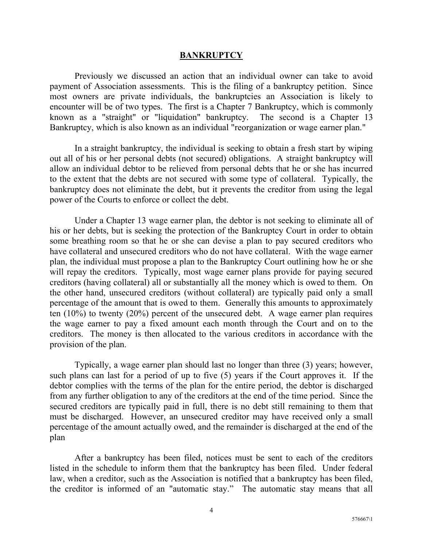#### **BANKRUPTCY**

Previously we discussed an action that an individual owner can take to avoid payment of Association assessments. This is the filing of a bankruptcy petition. Since most owners are private individuals, the bankruptcies an Association is likely to encounter will be of two types. The first is a Chapter 7 Bankruptcy, which is commonly known as a "straight" or "liquidation" bankruptcy. The second is a Chapter 13 Bankruptcy, which is also known as an individual "reorganization or wage earner plan."

In a straight bankruptcy, the individual is seeking to obtain a fresh start by wiping out all of his or her personal debts (not secured) obligations. A straight bankruptcy will allow an individual debtor to be relieved from personal debts that he or she has incurred to the extent that the debts are not secured with some type of collateral. Typically, the bankruptcy does not eliminate the debt, but it prevents the creditor from using the legal power of the Courts to enforce or collect the debt.

Under a Chapter 13 wage earner plan, the debtor is not seeking to eliminate all of his or her debts, but is seeking the protection of the Bankruptcy Court in order to obtain some breathing room so that he or she can devise a plan to pay secured creditors who have collateral and unsecured creditors who do not have collateral. With the wage earner plan, the individual must propose a plan to the Bankruptcy Court outlining how he or she will repay the creditors. Typically, most wage earner plans provide for paying secured creditors (having collateral) all or substantially all the money which is owed to them. On the other hand, unsecured creditors (without collateral) are typically paid only a small percentage of the amount that is owed to them. Generally this amounts to approximately ten (10%) to twenty (20%) percent of the unsecured debt. A wage earner plan requires the wage earner to pay a fixed amount each month through the Court and on to the creditors. The money is then allocated to the various creditors in accordance with the provision of the plan.

Typically, a wage earner plan should last no longer than three (3) years; however, such plans can last for a period of up to five (5) years if the Court approves it. If the debtor complies with the terms of the plan for the entire period, the debtor is discharged from any further obligation to any of the creditors at the end of the time period. Since the secured creditors are typically paid in full, there is no debt still remaining to them that must be discharged. However, an unsecured creditor may have received only a small percentage of the amount actually owed, and the remainder is discharged at the end of the plan

After a bankruptcy has been filed, notices must be sent to each of the creditors listed in the schedule to inform them that the bankruptcy has been filed. Under federal law, when a creditor, such as the Association is notified that a bankruptcy has been filed, the creditor is informed of an "automatic stay." The automatic stay means that all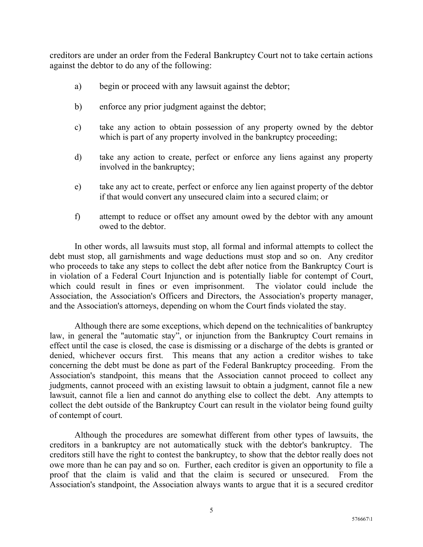creditors are under an order from the Federal Bankruptcy Court not to take certain actions against the debtor to do any of the following:

- a) begin or proceed with any lawsuit against the debtor;
- b) enforce any prior judgment against the debtor;
- c) take any action to obtain possession of any property owned by the debtor which is part of any property involved in the bankruptcy proceeding;
- d) take any action to create, perfect or enforce any liens against any property involved in the bankruptcy;
- e) take any act to create, perfect or enforce any lien against property of the debtor if that would convert any unsecured claim into a secured claim; or
- f) attempt to reduce or offset any amount owed by the debtor with any amount owed to the debtor.

In other words, all lawsuits must stop, all formal and informal attempts to collect the debt must stop, all garnishments and wage deductions must stop and so on. Any creditor who proceeds to take any steps to collect the debt after notice from the Bankruptcy Court is in violation of a Federal Court Injunction and is potentially liable for contempt of Court, which could result in fines or even imprisonment. The violator could include the Association, the Association's Officers and Directors, the Association's property manager, and the Association's attorneys, depending on whom the Court finds violated the stay.

Although there are some exceptions, which depend on the technicalities of bankruptcy law, in general the "automatic stay", or injunction from the Bankruptcy Court remains in effect until the case is closed, the case is dismissing or a discharge of the debts is granted or denied, whichever occurs first. This means that any action a creditor wishes to take concerning the debt must be done as part of the Federal Bankruptcy proceeding. From the Association's standpoint, this means that the Association cannot proceed to collect any judgments, cannot proceed with an existing lawsuit to obtain a judgment, cannot file a new lawsuit, cannot file a lien and cannot do anything else to collect the debt. Any attempts to collect the debt outside of the Bankruptcy Court can result in the violator being found guilty of contempt of court.

Although the procedures are somewhat different from other types of lawsuits, the creditors in a bankruptcy are not automatically stuck with the debtor's bankruptcy. The creditors still have the right to contest the bankruptcy, to show that the debtor really does not owe more than he can pay and so on. Further, each creditor is given an opportunity to file a proof that the claim is valid and that the claim is secured or unsecured. From the Association's standpoint, the Association always wants to argue that it is a secured creditor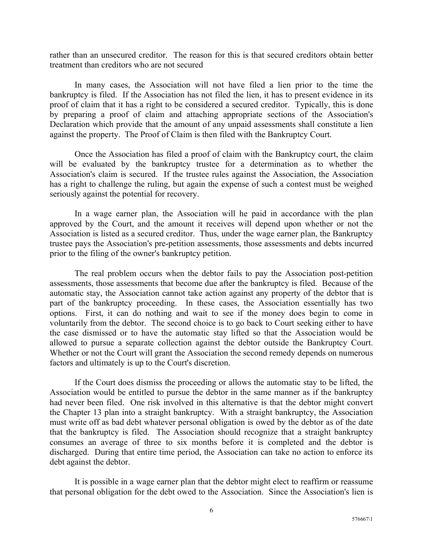rather than an unsecured creditor. The reason for this is that secured creditors obtain better treatment than creditors who are not secured

In many cases, the Association will not have filed a lien prior to the time the bankruptcy is filed. If the Association has not filed the lien, it has to present evidence in its proof of claim that it has a right to be considered a secured creditor. Typically, this is done by preparing a proof of claim and attaching appropriate sections of the Association's Declaration which provide that the amount of any unpaid assessments shall constitute a lien against the property. The Proof of Claim is then filed with the Bankruptcy Court.

Once the Association has filed a proof of claim with the Bankruptcy court, the claim will be evaluated by the bankruptcy trustee for a determination as to whether the Association's claim is secured. If the trustee rules against the Association, the Association has a right to challenge the ruling, but again the expense of such a contest must be weighed seriously against the potential for recovery.

In a wage earner plan, the Association will he paid in accordance with the plan approved by the Court, and the amount it receives will depend upon whether or not the Association is listed as a secured creditor. Thus, under the wage earner plan, the Bankruptcy trustee pays the Association's pre-petition assessments, those assessments and debts incurred prior to the filing of the owner's bankruptcy petition.

The real problem occurs when the debtor fails to pay the Association post-petition assessments, those assessments that become due after the bankruptcy is filed. Because of the automatic stay, the Association cannot take action against any property of the debtor that is part of the bankruptcy proceeding. In these cases, the Association essentially has two options. First, it can do nothing and wait to see if the money does begin to come in voluntarily from the debtor. The second choice is to go back to Court seeking either to have the case dismissed or to have the automatic stay lifted so that the Association would be allowed to pursue a separate collection against the debtor outside the Bankruptcy Court. Whether or not the Court will grant the Association the second remedy depends on numerous factors and ultimately is up to the Court's discretion.

If the Court does dismiss the proceeding or allows the automatic stay to be lifted, the Association would be entitled to pursue the debtor in the same manner as if the bankruptcy had never been filed. One risk involved in this alternative is that the debtor might convert the Chapter 13 plan into a straight bankruptcy. With a straight bankruptcy, the Association must write off as bad debt whatever personal obligation is owed by the debtor as of the date that the bankruptcy is filed. The Association should recognize that a straight bankruptcy consumes an average of three to six months before it is completed and the debtor is discharged. During that entire time period, the Association can take no action to enforce its debt against the debtor.

It is possible in a wage earner plan that the debtor might elect to reaffirm or reassume that personal obligation for the debt owed to the Association. Since the Association's lien is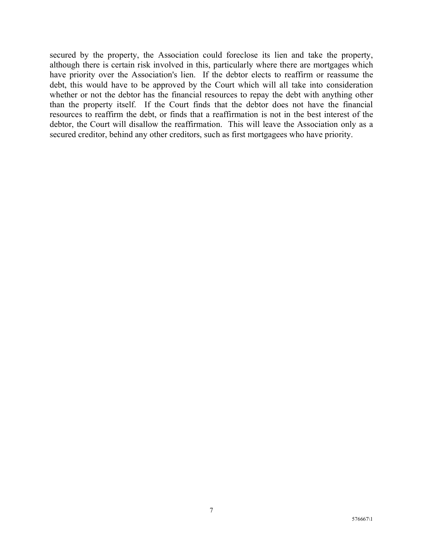secured by the property, the Association could foreclose its lien and take the property, although there is certain risk involved in this, particularly where there are mortgages which have priority over the Association's lien. If the debtor elects to reaffirm or reassume the debt, this would have to be approved by the Court which will all take into consideration whether or not the debtor has the financial resources to repay the debt with anything other than the property itself. If the Court finds that the debtor does not have the financial resources to reaffirm the debt, or finds that a reaffirmation is not in the best interest of the debtor, the Court will disallow the reaffirmation. This will leave the Association only as a secured creditor, behind any other creditors, such as first mortgagees who have priority.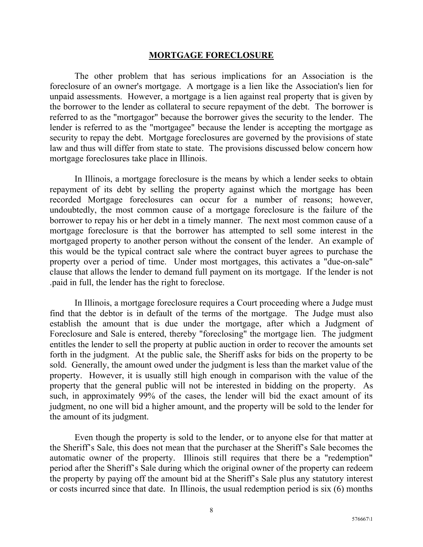#### **MORTGAGE FORECLOSURE**

The other problem that has serious implications for an Association is the foreclosure of an owner's mortgage. A mortgage is a lien like the Association's lien for unpaid assessments. However, a mortgage is a lien against real property that is given by the borrower to the lender as collateral to secure repayment of the debt. The borrower is referred to as the "mortgagor" because the borrower gives the security to the lender. The lender is referred to as the "mortgagee" because the lender is accepting the mortgage as security to repay the debt. Mortgage foreclosures are governed by the provisions of state law and thus will differ from state to state. The provisions discussed below concern how mortgage foreclosures take place in Illinois.

In Illinois, a mortgage foreclosure is the means by which a lender seeks to obtain repayment of its debt by selling the property against which the mortgage has been recorded Mortgage foreclosures can occur for a number of reasons; however, undoubtedly, the most common cause of a mortgage foreclosure is the failure of the borrower to repay his or her debt in a timely manner. The next most common cause of a mortgage foreclosure is that the borrower has attempted to sell some interest in the mortgaged property to another person without the consent of the lender. An example of this would be the typical contract sale where the contract buyer agrees to purchase the property over a period of time. Under most mortgages, this activates a "due-on-sale" clause that allows the lender to demand full payment on its mortgage. If the lender is not .paid in full, the lender has the right to foreclose.

In Illinois, a mortgage foreclosure requires a Court proceeding where a Judge must find that the debtor is in default of the terms of the mortgage. The Judge must also establish the amount that is due under the mortgage, after which a Judgment of Foreclosure and Sale is entered, thereby "foreclosing" the mortgage lien. The judgment entitles the lender to sell the property at public auction in order to recover the amounts set forth in the judgment. At the public sale, the Sheriff asks for bids on the property to be sold. Generally, the amount owed under the judgment is less than the market value of the property. However, it is usually still high enough in comparison with the value of the property that the general public will not be interested in bidding on the property. As such, in approximately 99% of the cases, the lender will bid the exact amount of its judgment, no one will bid a higher amount, and the property will be sold to the lender for the amount of its judgment.

Even though the property is sold to the lender, or to anyone else for that matter at the Sheriff's Sale, this does not mean that the purchaser at the Sheriff's Sale becomes the automatic owner of the property. Illinois still requires that there be a "redemption" period after the Sheriff's Sale during which the original owner of the property can redeem the property by paying off the amount bid at the Sheriff's Sale plus any statutory interest or costs incurred since that date. In Illinois, the usual redemption period is six (6) months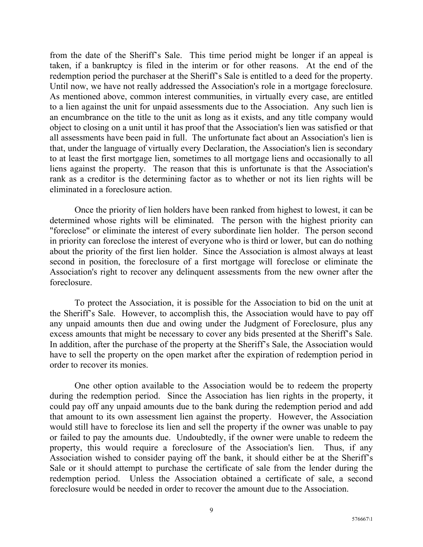from the date of the Sheriff's Sale. This time period might be longer if an appeal is taken, if a bankruptcy is filed in the interim or for other reasons. At the end of the redemption period the purchaser at the Sheriff's Sale is entitled to a deed for the property. Until now, we have not really addressed the Association's role in a mortgage foreclosure. As mentioned above, common interest communities, in virtually every case, are entitled to a lien against the unit for unpaid assessments due to the Association. Any such lien is an encumbrance on the title to the unit as long as it exists, and any title company would object to closing on a unit until it has proof that the Association's lien was satisfied or that all assessments have been paid in full. The unfortunate fact about an Association's lien is that, under the language of virtually every Declaration, the Association's lien is secondary to at least the first mortgage lien, sometimes to all mortgage liens and occasionally to all liens against the property. The reason that this is unfortunate is that the Association's rank as a creditor is the determining factor as to whether or not its lien rights will be eliminated in a foreclosure action.

Once the priority of lien holders have been ranked from highest to lowest, it can be determined whose rights will be eliminated. The person with the highest priority can "foreclose" or eliminate the interest of every subordinate lien holder. The person second in priority can foreclose the interest of everyone who is third or lower, but can do nothing about the priority of the first lien holder. Since the Association is almost always at least second in position, the foreclosure of a first mortgage will foreclose or eliminate the Association's right to recover any delinquent assessments from the new owner after the foreclosure.

To protect the Association, it is possible for the Association to bid on the unit at the Sheriff's Sale. However, to accomplish this, the Association would have to pay off any unpaid amounts then due and owing under the Judgment of Foreclosure, plus any excess amounts that might be necessary to cover any bids presented at the Sheriff's Sale. In addition, after the purchase of the property at the Sheriff's Sale, the Association would have to sell the property on the open market after the expiration of redemption period in order to recover its monies.

One other option available to the Association would be to redeem the property during the redemption period. Since the Association has lien rights in the property, it could pay off any unpaid amounts due to the bank during the redemption period and add that amount to its own assessment lien against the property. However, the Association would still have to foreclose its lien and sell the property if the owner was unable to pay or failed to pay the amounts due. Undoubtedly, if the owner were unable to redeem the property, this would require a foreclosure of the Association's lien. Thus, if any Association wished to consider paying off the bank, it should either be at the Sheriff's Sale or it should attempt to purchase the certificate of sale from the lender during the redemption period. Unless the Association obtained a certificate of sale, a second foreclosure would be needed in order to recover the amount due to the Association.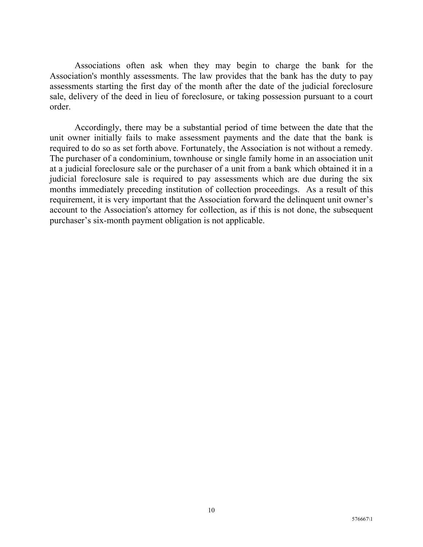Associations often ask when they may begin to charge the bank for the Association's monthly assessments. The law provides that the bank has the duty to pay assessments starting the first day of the month after the date of the judicial foreclosure sale, delivery of the deed in lieu of foreclosure, or taking possession pursuant to a court order.

Accordingly, there may be a substantial period of time between the date that the unit owner initially fails to make assessment payments and the date that the bank is required to do so as set forth above. Fortunately, the Association is not without a remedy. The purchaser of a condominium, townhouse or single family home in an association unit at a judicial foreclosure sale or the purchaser of a unit from a bank which obtained it in a judicial foreclosure sale is required to pay assessments which are due during the six months immediately preceding institution of collection proceedings. As a result of this requirement, it is very important that the Association forward the delinquent unit owner's account to the Association's attorney for collection, as if this is not done, the subsequent purchaser's six-month payment obligation is not applicable.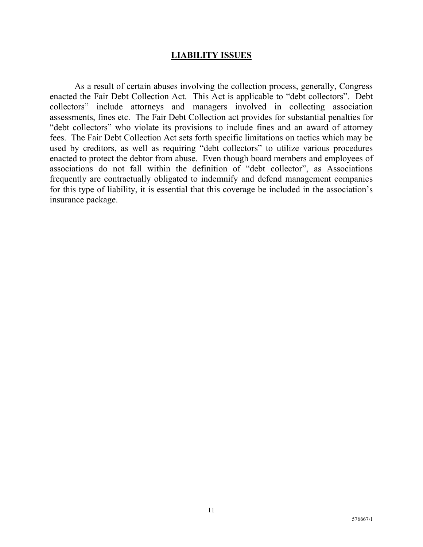### **LIABILITY ISSUES**

As a result of certain abuses involving the collection process, generally, Congress enacted the Fair Debt Collection Act. This Act is applicable to "debt collectors". Debt collectors" include attorneys and managers involved in collecting association assessments, fines etc. The Fair Debt Collection act provides for substantial penalties for "debt collectors" who violate its provisions to include fines and an award of attorney fees. The Fair Debt Collection Act sets forth specific limitations on tactics which may be used by creditors, as well as requiring "debt collectors" to utilize various procedures enacted to protect the debtor from abuse. Even though board members and employees of associations do not fall within the definition of "debt collector", as Associations frequently are contractually obligated to indemnify and defend management companies for this type of liability, it is essential that this coverage be included in the association's insurance package.